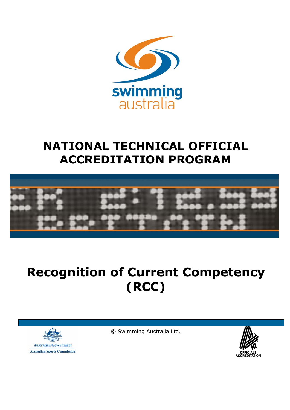

## **NATIONAL TECHNICAL OFFICIAL ACCREDITATION PROGRAM**



# **Recognition of Current Competency (RCC)**



© Swimming Australia Ltd.

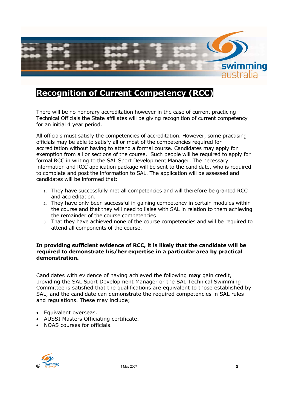

## **Recognition of Current Competency (RCC)**

There will be no honorary accreditation however in the case of current practicing Technical Officials the State affiliates will be giving recognition of current competency for an initial 4 year period.

All officials must satisfy the competencies of accreditation. However, some practising officials may be able to satisfy all or most of the competencies required for accreditation without having to attend a formal course. Candidates may apply for exemption from all or sections of the course. Such people will be required to apply for formal RCC in writing to the SAL Sport Development Manager. The necessary information and RCC application package will be sent to the candidate, who is required to complete and post the information to SAL. The application will be assessed and candidates will be informed that:

- 1. They have successfully met all competencies and will therefore be granted RCC and accreditation.
- 2. They have only been successful in gaining competency in certain modules within the course and that they will need to liaise with SAL in relation to them achieving the remainder of the course competencies
- 3. That they have achieved none of the course competencies and will be required to attend all components of the course.

#### **In providing sufficient evidence of RCC, it is likely that the candidate will be required to demonstrate his/her expertise in a particular area by practical demonstration.**

Candidates with evidence of having achieved the following **may** gain credit, providing the SAL Sport Development Manager or the SAL Technical Swimming Committee is satisfied that the qualifications are equivalent to those established by SAL, and the candidate can demonstrate the required competencies in SAL rules and regulations. These may include;

- Equivalent overseas.
- AUSSI Masters Officiating certificate.
- NOAS courses for officials.

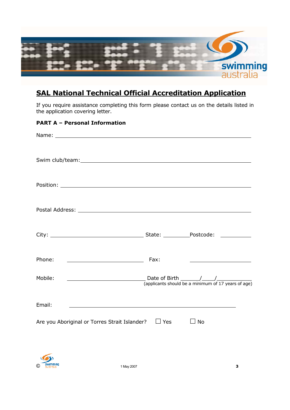

## **SAL National Technical Official Accreditation Application**

If you require assistance completing this form please contact us on the details listed in the application covering letter.

#### **PART A – Personal Information**

| Phone:<br><u> 1980 - Johann Stein, mars an deutscher Stein (</u>           | Fax:       | <u> Alexandria de la contrada de la contrada de la contrada de la contrada de la contrada de la contrada de la c</u> |
|----------------------------------------------------------------------------|------------|----------------------------------------------------------------------------------------------------------------------|
| Mobile:                                                                    |            |                                                                                                                      |
| Email:<br><u> 1989 - Andrea Stadt Britain, amerikansk politik (* 1989)</u> |            |                                                                                                                      |
| Are you Aboriginal or Torres Strait Islander?                              | $\Box$ Yes | $\Box$ No                                                                                                            |

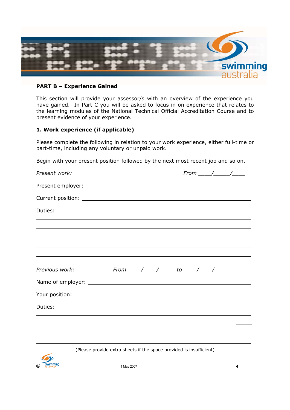

#### **PART B – Experience Gained**

This section will provide your assessor/s with an overview of the experience you have gained. In Part C you will be asked to focus in on experience that relates to the learning modules of the National Technical Official Accreditation Course and to present evidence of your experience.

#### **1. Work experience (if applicable)**

Please complete the following in relation to your work experience, either full-time or part-time, including any voluntary or unpaid work.

Begin with your present position followed by the next most recent job and so on.

| Present work:  |                                                                                  |
|----------------|----------------------------------------------------------------------------------|
|                |                                                                                  |
|                |                                                                                  |
| Duties:        |                                                                                  |
|                |                                                                                  |
|                |                                                                                  |
|                |                                                                                  |
| Previous work: | From ____/____/_______ to _____/_____/______                                     |
|                |                                                                                  |
|                | Your position: <u>New Your position:</u>                                         |
| Duties:        |                                                                                  |
|                | ,我们也不会有什么。""我们的人,我们也不会有什么?""我们的人,我们也不会有什么?""我们的人,我们也不会有什么?""我们的人,我们也不会有什么?""我们的人 |
|                |                                                                                  |
|                |                                                                                  |

(Please provide extra sheets if the space provided is insufficient)

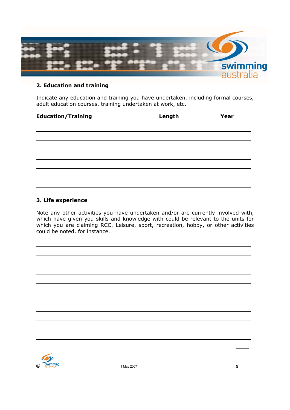

#### **2. Education and training**

Indicate any education and training you have undertaken, including formal courses, adult education courses, training undertaken at work, etc.

### **Education/Training Length Year**

| the contract of the contract of                                                                                                                                                                                                      |                                                                                  |  |  |
|--------------------------------------------------------------------------------------------------------------------------------------------------------------------------------------------------------------------------------------|----------------------------------------------------------------------------------|--|--|
| <u> El control de la control de la control de la control de la control de la control de la control de la control de la control de la control de la control de la control de la control de la control de la control de la control</u> |                                                                                  |  |  |
|                                                                                                                                                                                                                                      |                                                                                  |  |  |
|                                                                                                                                                                                                                                      | ,我们的人们就会在这里,我们的人们就会在这里,我们的人们就会在这里,我们的人们就会在这里,我们的人们就会在这里,我们的人们就会在这里,我们的人们就会在这里,我们 |  |  |
|                                                                                                                                                                                                                                      |                                                                                  |  |  |

#### **3. Life experience**

Note any other activities you have undertaken and/or are currently involved with, which have given you skills and knowledge with could be relevant to the units for which you are claiming RCC. Leisure, sport, recreation, hobby, or other activities could be noted, for instance.



 $\overline{a}$  $\overline{a}$ 

\_\_\_\_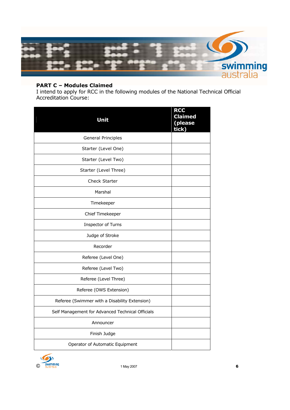

#### **PART C – Modules Claimed**

I intend to apply for RCC in the following modules of the National Technical Official Accreditation Course:

| Unit                                             | <b>RCC</b><br><b>Claimed</b><br>(please<br>tick) |
|--------------------------------------------------|--------------------------------------------------|
| <b>General Principles</b>                        |                                                  |
| Starter (Level One)                              |                                                  |
| Starter (Level Two)                              |                                                  |
| Starter (Level Three)                            |                                                  |
| <b>Check Starter</b>                             |                                                  |
| Marshal                                          |                                                  |
| Timekeeper                                       |                                                  |
| Chief Timekeeper                                 |                                                  |
| Inspector of Turns                               |                                                  |
| Judge of Stroke                                  |                                                  |
| Recorder                                         |                                                  |
| Referee (Level One)                              |                                                  |
| Referee (Level Two)                              |                                                  |
| Referee (Level Three)                            |                                                  |
| Referee (OWS Extension)                          |                                                  |
| Referee (Swimmer with a Disability Extension)    |                                                  |
| Self Management for Advanced Technical Officials |                                                  |
| Announcer                                        |                                                  |
| Finish Judge                                     |                                                  |
| Operator of Automatic Equipment                  |                                                  |

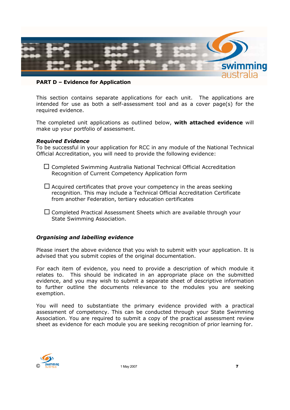

#### **PART D – Evidence for Application**

This section contains separate applications for each unit. The applications are intended for use as both a self-assessment tool and as a cover page(s) for the required evidence.

The completed unit applications as outlined below, **with attached evidence** will make up your portfolio of assessment.

#### *Required Evidence*

To be successful in your application for RCC in any module of the National Technical Official Accreditation, you will need to provide the following evidence:

 $\Box$  Completed Swimming Australia National Technical Official Accreditation Recognition of Current Competency Application form

 $\Box$  Acquired certificates that prove your competency in the areas seeking recognition. This may include a Technical Official Accreditation Certificate from another Federation, tertiary education certificates

 $\Box$  Completed Practical Assessment Sheets which are available through your State Swimming Association.

#### *Organising and labelling evidence*

Please insert the above evidence that you wish to submit with your application. It is advised that you submit copies of the original documentation.

For each item of evidence, you need to provide a description of which module it relates to. This should be indicated in an appropriate place on the submitted evidence, and you may wish to submit a separate sheet of descriptive information to further outline the documents relevance to the modules you are seeking exemption.

You will need to substantiate the primary evidence provided with a practical assessment of competency. This can be conducted through your State Swimming Association. You are required to submit a copy of the practical assessment review sheet as evidence for each module you are seeking recognition of prior learning for.